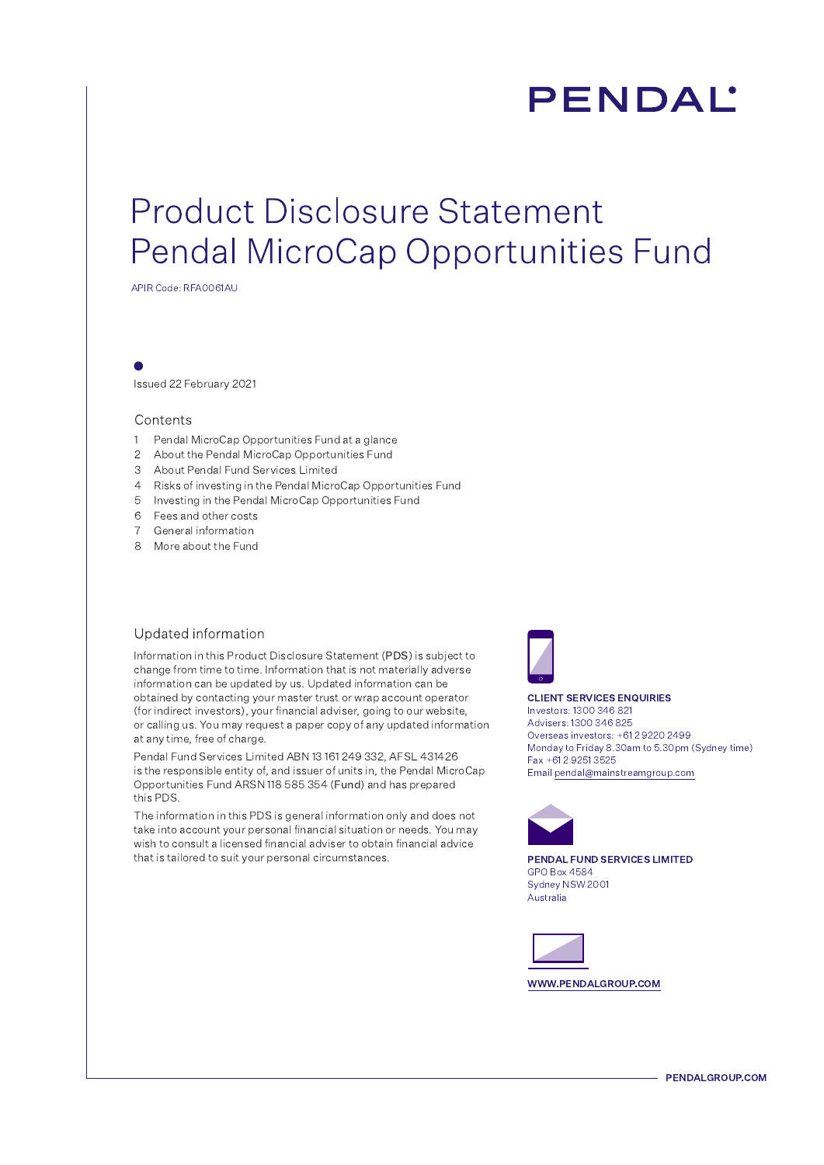# **PENDAL'**

# **Product Disclosure Statement** Pendal MicroCap Opportunities Fund

APIR Code: RFA0061AU

Issued 22 February 2021

#### Contents

- 1 Pendal MicroCap Opportunities Fund at a glance
- 2 About the Pendal MicroCap Opportunities Fund
- 3 About Pendal Fund Services Limited
- 4 Risks of investing in the Pendal MicroCap Opportunities Fund
- 5 Investing in the Pendal MicroCap Opportunities Fund
- 6 Fees and other costs
- 7 General information
- 8 More about the Fund

#### Updated information

Information in this Product Disclosure Statement (PDS) is subject to change from time to time. Information that is not materially adverse information can be updated by us. Updated information can be obtained by contacting your master trust or wrap account operator (for indirect investors), your financial adviser, going to our website, or calling us. You may request a paper copy of any updated information at any time, free of charge.

Pendal Fund Services Limited ABN 13 161 249 332, AFSL 431426 is the responsible entity of, and issuer of units in, the Pendal MicroCap Opportunities Fund ARSN 118 585 354 (Fund) and has prepared this PDS.

The information in this PDS is general information only and does not take into account your personal financial situation or needs. You may wish to consult a licensed financial adviser to obtain financial advice that is tailored to suit your personal circumstances.



#### **CLIENT SERVICES ENQUIRIES**

Investors: 1300 346 821 Advisers: 1300 346 825 Overseas investors: +61 2 9220 2499 Monday to Friday 8.30am to 5.30pm (Sydney time) Fax +61 2 9251 3525 Email pendal@mainstreamgroup.com



PENDAL FUND SERVICES LIMITED **GPO Box 4584** Sydney NSW 2001 Australia



WWW.PENDALGROUP.COM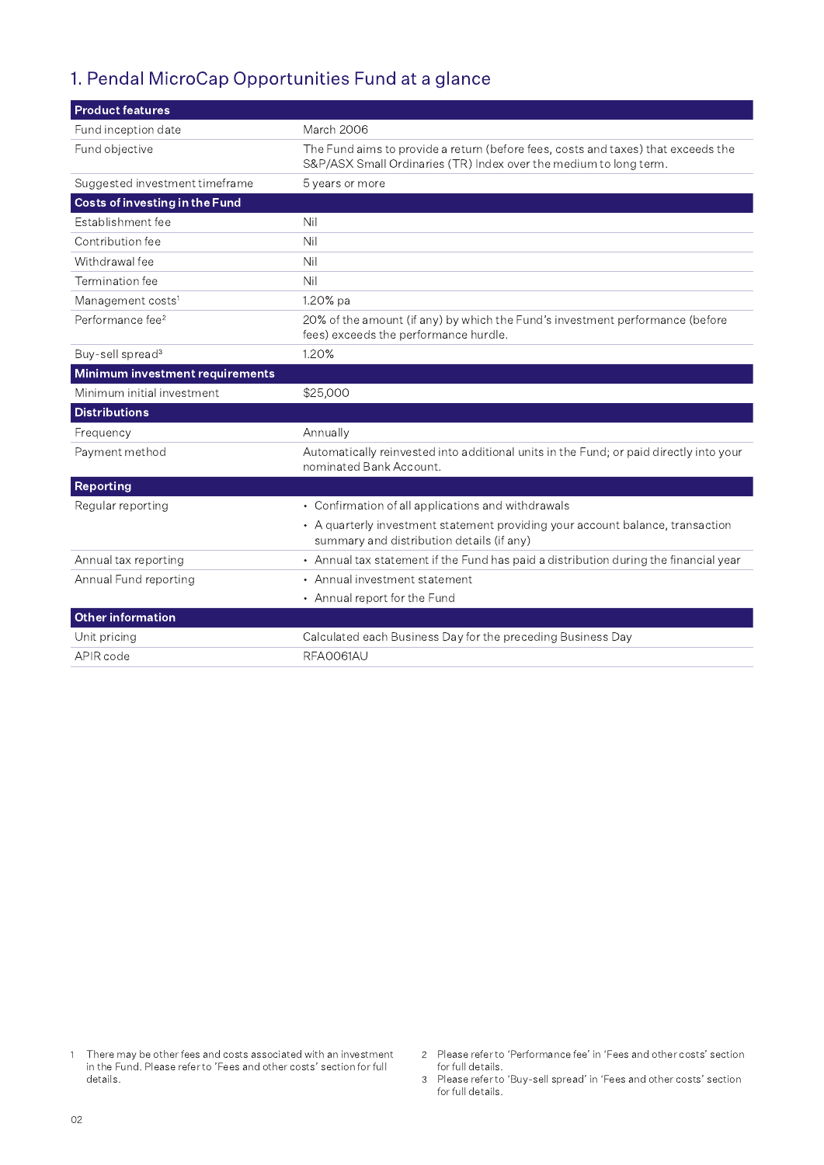## 1. Pendal MicroCap Opportunities Fund at a glance

| <b>Product features</b>               |                                                                                                                                                        |
|---------------------------------------|--------------------------------------------------------------------------------------------------------------------------------------------------------|
| Fund inception date                   | March 2006                                                                                                                                             |
| Fund objective                        | The Fund aims to provide a return (before fees, costs and taxes) that exceeds the<br>S&P/ASX Small Ordinaries (TR) Index over the medium to long term. |
| Suggested investment timeframe        | 5 years or more                                                                                                                                        |
| <b>Costs of investing in the Fund</b> |                                                                                                                                                        |
| Establishment fee                     | Nil                                                                                                                                                    |
| Contribution fee                      | Nil                                                                                                                                                    |
| Withdrawal fee                        | Nil                                                                                                                                                    |
| Termination fee                       | Nil                                                                                                                                                    |
| Management costs <sup>1</sup>         | 1.20% pa                                                                                                                                               |
| Performance fee <sup>2</sup>          | 20% of the amount (if any) by which the Fund's investment performance (before<br>fees) exceeds the performance hurdle.                                 |
| Buy-sell spread <sup>3</sup>          | 1.20%                                                                                                                                                  |
| Minimum investment requirements       |                                                                                                                                                        |
| Minimum initial investment            | \$25,000                                                                                                                                               |
| <b>Distributions</b>                  |                                                                                                                                                        |
| Frequency                             | Annually                                                                                                                                               |
| Payment method                        | Automatically reinvested into additional units in the Fund; or paid directly into your<br>nominated Bank Account.                                      |
| <b>Reporting</b>                      |                                                                                                                                                        |
| Regular reporting                     | • Confirmation of all applications and withdrawals                                                                                                     |
|                                       | • A quarterly investment statement providing your account balance, transaction<br>summary and distribution details (if any)                            |
| Annual tax reporting                  | • Annual tax statement if the Fund has paid a distribution during the financial year                                                                   |
| Annual Fund reporting                 | • Annual investment statement                                                                                                                          |
|                                       | • Annual report for the Fund                                                                                                                           |
| <b>Other information</b>              |                                                                                                                                                        |
| Unit pricing                          | Calculated each Business Day for the preceding Business Day                                                                                            |
| APIR code                             | RFA0061AU                                                                                                                                              |

- There may be other fees and costs associated with an investment  $\mathfrak{f}$ in the Fund. Please refer to 'Fees and other costs' section for full details.
- 2 Please refer to 'Performance fee' in 'Fees and other costs' section for full details.
- 3 Please refer to 'Buy-sell spread' in 'Fees and other costs' section for full details.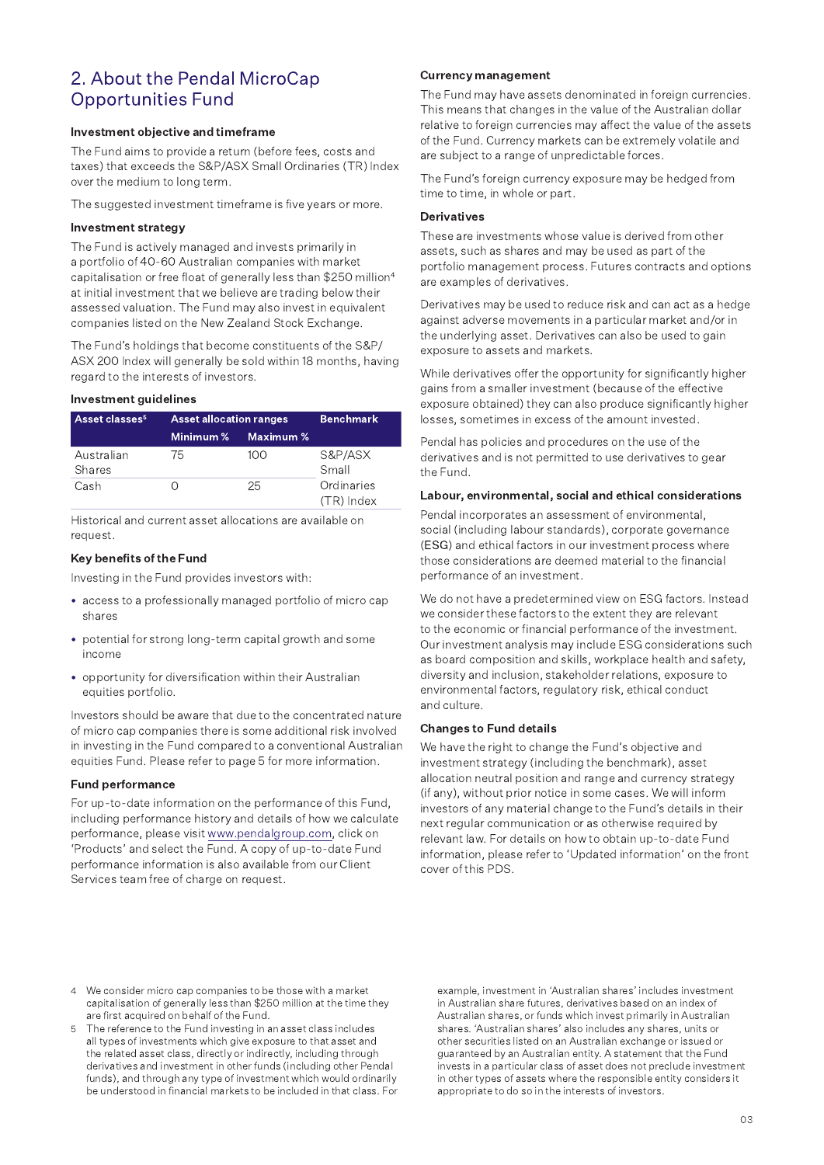### 2. About the Pendal MicroCap **Opportunities Fund**

#### Investment objective and timeframe

The Fund aims to provide a return (before fees, costs and taxes) that exceeds the S&P/ASX Small Ordinaries (TR) Index over the medium to long term.

The suggested investment timeframe is five years or more.

#### Investment strategy

The Fund is actively managed and invests primarily in a portfolio of 40-60 Australian companies with market capitalisation or free float of generally less than \$250 million<sup>4</sup> at initial investment that we believe are trading below their assessed valuation. The Fund may also invest in equivalent companies listed on the New Zealand Stock Exchange.

The Fund's holdings that become constituents of the S&P/ ASX 200 Index will generally be sold within 18 months, having regard to the interests of investors.

#### Investment guidelines

| Asset classes <sup>5</sup> | <b>Asset allocation ranges</b> |           | Benchmark                  |
|----------------------------|--------------------------------|-----------|----------------------------|
|                            | Minimum %                      | Maximum % |                            |
| Australian<br>Shares       | 75                             | 100       | S&P/ASX<br>Small           |
| Cash                       |                                | 25        | Ordinaries<br>$(TR)$ Index |

Historical and current asset allocations are available on request.

#### Key benefits of the Fund

Investing in the Fund provides investors with:

- access to a professionally managed portfolio of micro cap shares
- potential for strong long-term capital growth and some income
- opportunity for diversification within their Australian equities portfolio.

Investors should be aware that due to the concentrated nature of micro cap companies there is some additional risk involved in investing in the Fund compared to a conventional Australian equities Fund. Please refer to page 5 for more information.

#### **Fund performance**

For up-to-date information on the performance of this Fund, including performance history and details of how we calculate performance, please visit www.pendalgroup.com, click on 'Products' and select the Fund. A copy of up-to-date Fund performance information is also available from our Client Services team free of charge on request.

#### **Currency management**

The Fund may have assets denominated in foreign currencies. This means that changes in the value of the Australian dollar relative to foreign currencies may affect the value of the assets of the Fund. Currency markets can be extremely volatile and are subject to a range of unpredictable forces.

The Fund's foreign currency exposure may be hedged from time to time, in whole or part.

#### **Derivatives**

These are investments whose value is derived from other assets, such as shares and may be used as part of the portfolio management process. Futures contracts and options are examples of derivatives.

Derivatives may be used to reduce risk and can act as a hedge against adverse movements in a particular market and/or in the underlying asset. Derivatives can also be used to gain exposure to assets and markets.

While derivatives offer the opportunity for significantly higher gains from a smaller investment (because of the effective exposure obtained) they can also produce significantly higher losses, sometimes in excess of the amount invested.

Pendal has policies and procedures on the use of the derivatives and is not permitted to use derivatives to gear the Fund.

#### Labour, environmental, social and ethical considerations

Pendal incorporates an assessment of environmental, social (including labour standards), corporate governance (ESG) and ethical factors in our investment process where those considerations are deemed material to the financial performance of an investment.

We do not have a predetermined view on ESG factors. Instead we consider these factors to the extent they are relevant to the economic or financial performance of the investment. Our investment analysis may include ESG considerations such as board composition and skills, workplace health and safety, diversity and inclusion, stakeholder relations, exposure to environmental factors, regulatory risk, ethical conduct and culture.

#### **Changes to Fund details**

We have the right to change the Fund's objective and investment strategy (including the benchmark), asset allocation neutral position and range and currency strategy (if any), without prior notice in some cases. We will inform investors of any material change to the Fund's details in their next regular communication or as otherwise required by relevant law. For details on how to obtain up-to-date Fund information, please refer to 'Updated information' on the front cover of this PDS.

- 4 We consider micro cap companies to be those with a market capitalisation of generally less than \$250 million at the time they are first acquired on behalf of the Fund.
- The reference to the Fund investing in an asset class includes  $\overline{5}$ all types of investments which give exposure to that asset and the related asset class, directly or indirectly, including through derivatives and investment in other funds (including other Pendal funds), and through any type of investment which would ordinarily be understood in financial markets to be included in that class. For

example, investment in 'Australian shares' includes investment in Australian share futures, derivatives based on an index of Australian shares, or funds which invest primarily in Australian shares. 'Australian shares' also includes any shares, units or other securities listed on an Australian exchange or issued or quaranteed by an Australian entity. A statement that the Fund invests in a particular class of asset does not preclude investment in other types of assets where the responsible entity considers it appropriate to do so in the interests of investors.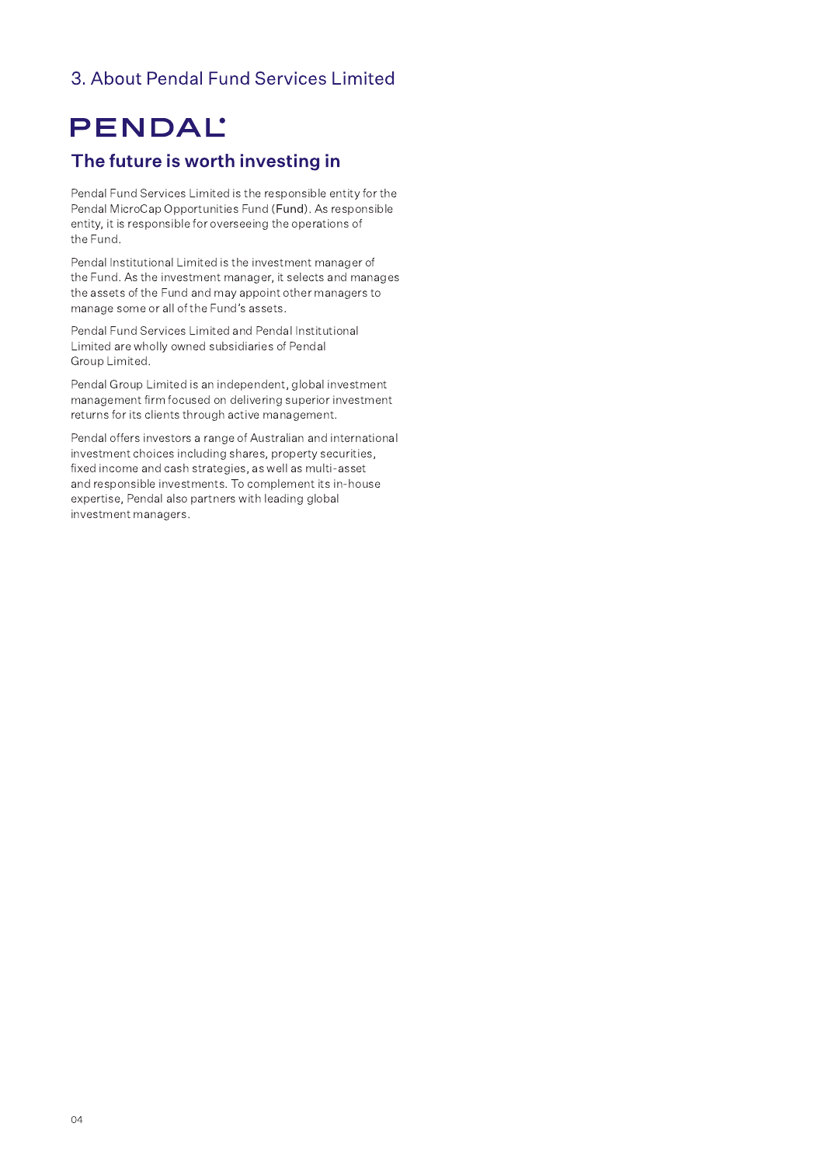## 3. About Pendal Fund Services Limited

## PENDAL

## The future is worth investing in

Pendal Fund Services Limited is the responsible entity for the Pendal MicroCap Opportunities Fund (Fund). As responsible entity, it is responsible for overseeing the operations of the Fund.

Pendal Institutional Limited is the investment manager of the Fund. As the investment manager, it selects and manages the assets of the Fund and may appoint other managers to manage some or all of the Fund's assets.

Pendal Fund Services Limited and Pendal Institutional Limited are wholly owned subsidiaries of Pendal Group Limited.

Pendal Group Limited is an independent, global investment management firm focused on delivering superior investment returns for its clients through active management.

Pendal offers investors a range of Australian and international investment choices including shares, property securities, fixed income and cash strategies, as well as multi-asset and responsible investments. To complement its in-house expertise, Pendal also partners with leading global investment managers.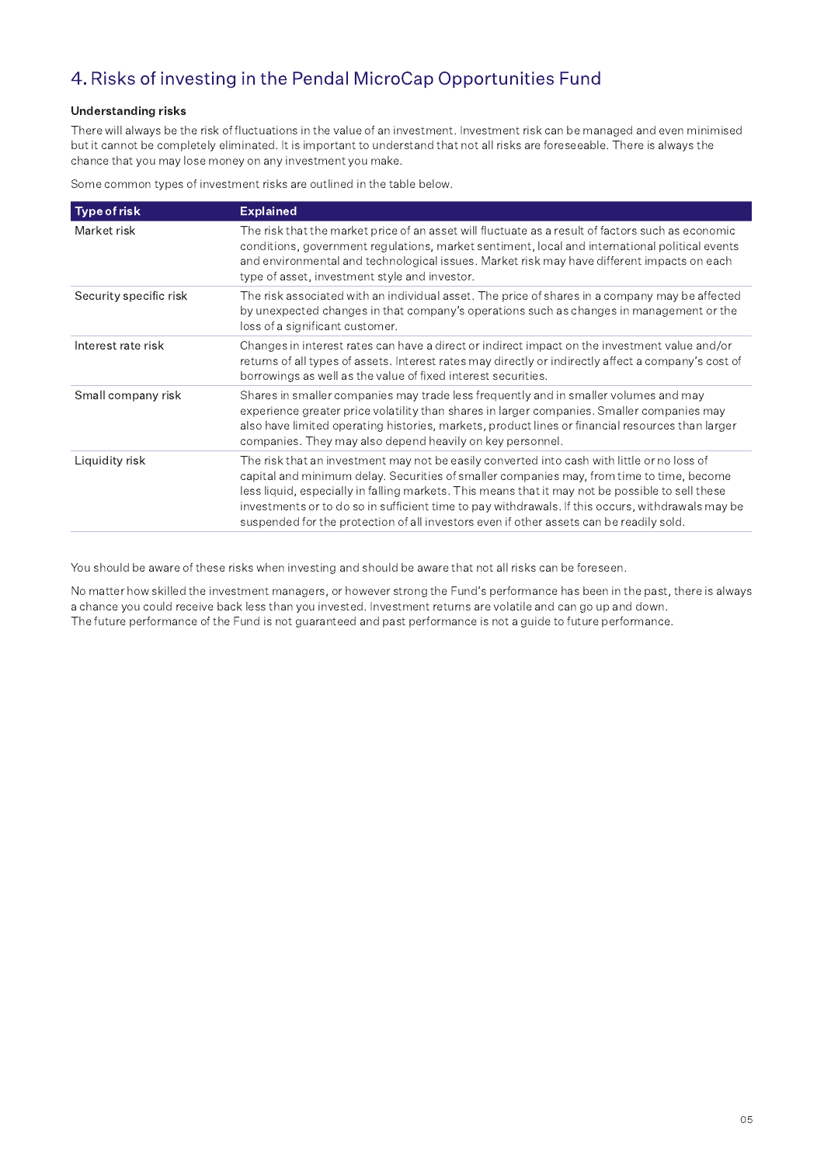## 4. Risks of investing in the Pendal MicroCap Opportunities Fund

#### **Understanding risks**

There will always be the risk of fluctuations in the value of an investment. Investment risk can be managed and even minimised but it cannot be completely eliminated. It is important to understand that not all risks are foreseeable. There is always the chance that you may lose money on any investment you make.

Some common types of investment risks are outlined in the table below.

| <b>Type of risk</b>    | <b>Explained</b>                                                                                                                                                                                                                                                                                                                                                                                                                                                                             |
|------------------------|----------------------------------------------------------------------------------------------------------------------------------------------------------------------------------------------------------------------------------------------------------------------------------------------------------------------------------------------------------------------------------------------------------------------------------------------------------------------------------------------|
| Market risk            | The risk that the market price of an asset will fluctuate as a result of factors such as economic<br>conditions, government regulations, market sentiment, local and international political events<br>and environmental and technological issues. Market risk may have different impacts on each<br>type of asset, investment style and investor.                                                                                                                                           |
| Security specific risk | The risk associated with an individual asset. The price of shares in a company may be affected<br>by unexpected changes in that company's operations such as changes in management or the<br>loss of a significant customer.                                                                                                                                                                                                                                                                 |
| Interest rate risk     | Changes in interest rates can have a direct or indirect impact on the investment value and/or<br>returns of all types of assets. Interest rates may directly or indirectly affect a company's cost of<br>borrowings as well as the value of fixed interest securities.                                                                                                                                                                                                                       |
| Small company risk     | Shares in smaller companies may trade less frequently and in smaller volumes and may<br>experience greater price volatility than shares in larger companies. Smaller companies may<br>also have limited operating histories, markets, product lines or financial resources than larger<br>companies. They may also depend heavily on key personnel.                                                                                                                                          |
| Liquidity risk         | The risk that an investment may not be easily converted into cash with little or no loss of<br>capital and minimum delay. Securities of smaller companies may, from time to time, become<br>less liquid, especially in falling markets. This means that it may not be possible to sell these<br>investments or to do so in sufficient time to pay withdrawals. If this occurs, withdrawals may be<br>suspended for the protection of all investors even if other assets can be readily sold. |

You should be aware of these risks when investing and should be aware that not all risks can be foreseen.

No matter how skilled the investment managers, or however strong the Fund's performance has been in the past, there is always a chance you could receive back less than you invested. Investment returns are volatile and can go up and down. The future performance of the Fund is not guaranteed and past performance is not a guide to future performance.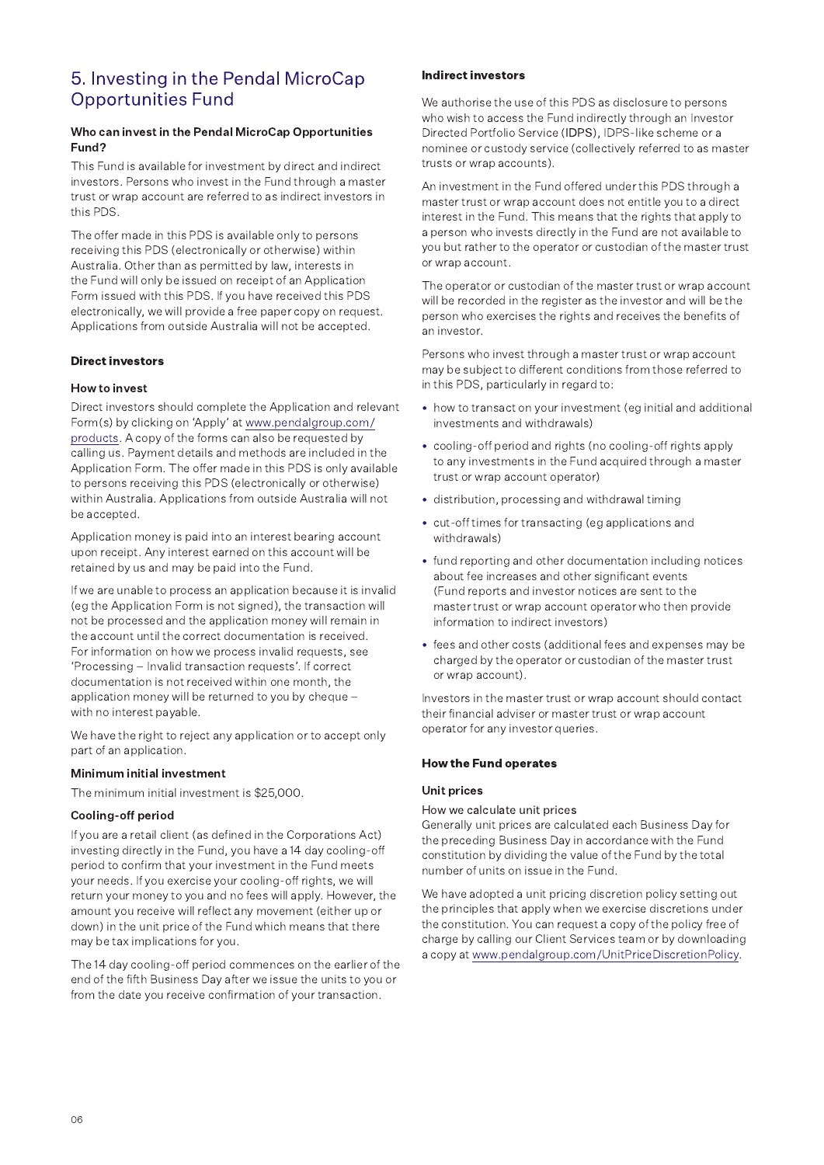## 5. Investing in the Pendal MicroCap Opportunities Fund

## Fund?

5. Investing in the Pendal MicroCap<br>
Opportunities Fund<br>
Who can invest in the Pendal MicroCap Opportunities<br>
Fund?<br>
This Fund is available for investment by direct and indirect<br>
investors. Persons who invest in the Fund t This Fund is available for investment by direct and indirect investors. Persons who invest in the Fund through a master trust or wrap account are referred to as indirect investors in this PDS.

The offer made in this PDS is available only to persons receiving this PDS (electronically or otherwise) within Australia. Other than as permitted by law, interests in the Fund will only be issued on receipt of an Application Form issued with this PDS. If you have received this PDS electronically, we will provide a free paper copy on request. Applications from outside Australia will not be accepted.

#### Direct investors

#### How to invest

Direct investors should complete the Application and relevant Form(s) by clicking on 'Apply' at www.pendalgroup.com/ products. A copy of the forms can also be requested by calling us. Payment details and methods are included in the Application Form. The offer made in this PDS is only available to persons receiving this PDS (electronically or otherwise) within Australia. Applications from outside Australia will not be accepted.

Application money is paid into an interest bearing account upon receipt. Any interest earned on this account will be retained by us and may be paid into the Fund.

If we are unable to process an application because it is invalid (eq the Application Form is not signed), the transaction will not be processed and the application money will remain in the account until the correct documentation is received. For information on how we process invalid requests, see 'Processing - Invalid transaction requests'. If correct documentation is not received within one month, the application money will be returned to you by cheque with no interest payable.

We have the right to reject any application or to accept only part of an application.

#### Minimum initial investment

The minimum initial investment is \$25,000.

#### Cooling-off period

If you are a retail client (as defined in the Corporations Act) investing directly in the Fund, you have a 14 day cooling-off period to confirm that your investment in the Fund meets your needs. If you exercise your cooling-off rights, we will return your money to you and no fees will apply. However, the amount you receive will reflect any movement (either up or down) in the unit price of the Fund which means that there may be tax implications for you.

The 14 day cooling-off period commences on the earlier of the end of the fifth Business Day after we issue the units to you or from the date you receive confirmation of your transaction.

#### Indirect investors

We authorise the use of this PDS as disclosure to persons who wish to access the Fund indirectly through an Investor Directed Portfolio Service (IDPS), IDPS-like scheme or a nominee or custody service (collectively referred to as master trusts or wrap accounts).

An investment in the Fund offered under this PDS through a master trust or wrap account does not entitle you to a direct interest in the Fund. This means that the rights that apply to a person who invests directly in the Fund are not available to you but rather to the operator or custodian of the master trust or wrap account.

The operator or custodian of the master trust or wrap account will be recorded in the register as the investor and will be the person who exercises the rights and receives the benefits of an investor

Persons who invest through a master trust or wrap account may be subject to different conditions from those referred to in this PDS, particularly in regard to:

- how to transact on your investment (eq initial and additional investments and withdrawals)
- cooling-off period and rights (no cooling-off rights apply to any investments in the Fund acquired through a master trust or wrap account operator)
- distribution, processing and withdrawal timing
- cut-off times for transacting (eg applications and withdrawals)
- fund reporting and other documentation including notices about fee increases and other significant events (Fund reports and investor notices are sent to the master trust or wrap account operator who then provide information to indirect investors)
- fees and other costs (additional fees and expenses may be charged by the operator or custodian of the master trust or wrap account).

Investors in the master trust or wrap account should contact their financial adviser or master trust or wrap account operator for any investor queries.

#### How the Fund operates

#### Unit prices

#### How we calculate unit prices

Generally unit prices are calculated each Business Day for the preceding Business Day in accordance with the Fund constitution by dividing the value of the Fund by the total number of units on issue in the Fund.

We have adopted a unit pricing discretion policy setting out the principles that apply when we exercise discretions under the constitution. You can request a copy of the policy free of charge by calling our Client Services team or by downloading a copy at www.pendalgroup.com/UnitPriceDiscretionPolicy.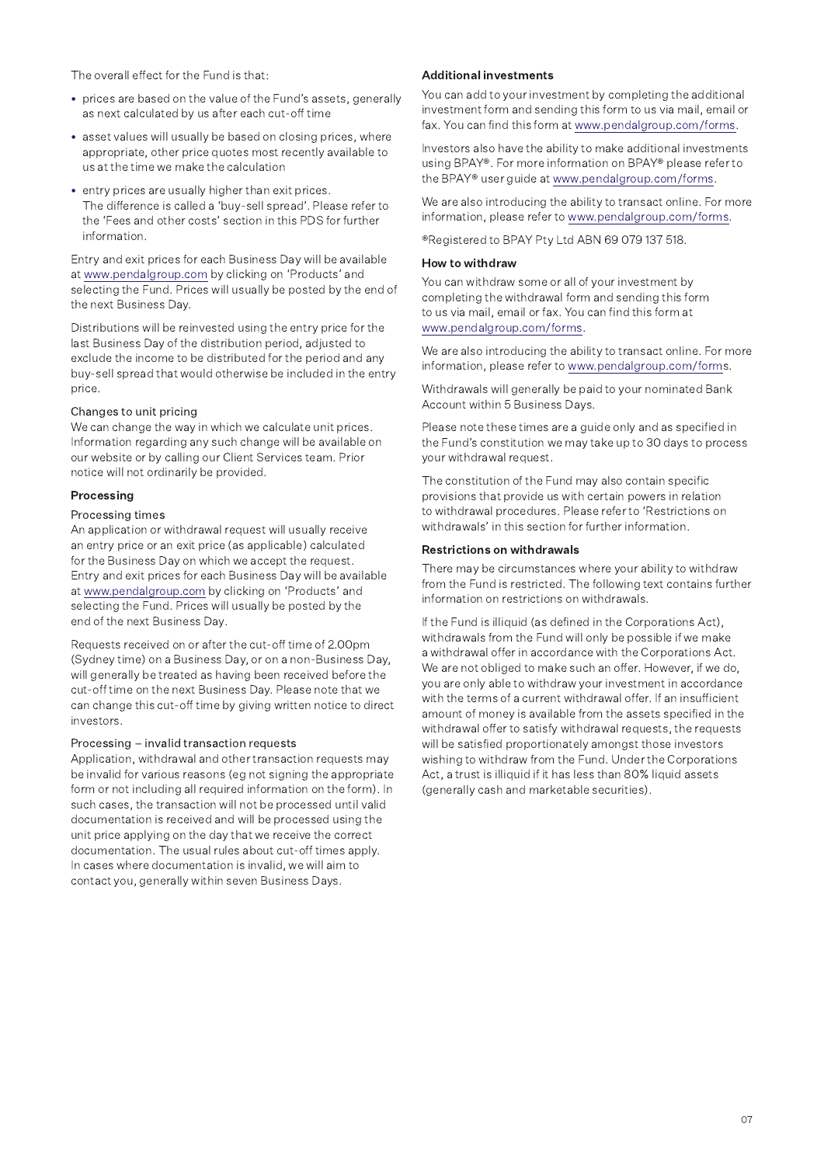The overall effect for the Fund is that

- prices are based on the value of the Fund's assets, generally as next calculated by us after each cut-off time
- asset values will usually be based on closing prices, where appropriate, other price quotes most recently available to us at the time we make the calculation
- entry prices are usually higher than exit prices. The difference is called a 'buy-sell spread'. Please refer to the 'Fees and other costs' section in this PDS for further information.

Entry and exit prices for each Business Day will be available at www.pendalgroup.com by clicking on 'Products' and selecting the Fund. Prices will usually be posted by the end of the next Business Day.

Distributions will be reinvested using the entry price for the last Business Day of the distribution period, adjusted to exclude the income to be distributed for the period and any buy-sell spread that would otherwise be included in the entry price.

#### Changes to unit pricing

We can change the way in which we calculate unit prices. Information regarding any such change will be available on our website or by calling our Client Services team. Prior notice will not ordinarily be provided.

#### Processing

#### Processing times

An application or withdrawal request will usually receive an entry price or an exit price (as applicable) calculated for the Business Day on which we accept the request. Entry and exit prices for each Business Day will be available at www.pendalgroup.com by clicking on 'Products' and selecting the Fund. Prices will usually be posted by the end of the next Business Day.

Requests received on or after the cut-off time of 2.00pm (Sydney time) on a Business Day, or on a non-Business Day, will generally be treated as having been received before the cut-off time on the next Business Day. Please note that we can change this cut-off time by giving written notice to direct investors.

#### Processing - invalid transaction requests

Application, withdrawal and other transaction requests may be invalid for various reasons (eg not signing the appropriate form or not including all required information on the form). In such cases, the transaction will not be processed until valid documentation is received and will be processed using the unit price applying on the day that we receive the correct documentation. The usual rules about cut-off times apply. In cases where documentation is invalid, we will aim to contact you, generally within seven Business Days.

#### Additional investments

You can add to your investment by completing the additional investment form and sending this form to us via mail, email or fax. You can find this form at www.pendalgroup.com/forms.

Investors also have the ability to make additional investments using BPAY®. For more information on BPAY® please refer to the BPAY® user quide at www.pendalgroup.com/forms.

We are also introducing the ability to transact online. For more information, please refer to www.pendalgroup.com/forms.

®Registered to BPAY Pty Ltd ABN 69 079 137 518.

#### How to withdraw

You can withdraw some or all of your investment by completing the withdrawal form and sending this form to us via mail, email or fax. You can find this form at www.pendalgroup.com/forms.

We are also introducing the ability to transact online. For more information, please refer to www.pendalgroup.com/forms.

Withdrawals will generally be paid to your nominated Bank Account within 5 Business Days.

Please note these times are a guide only and as specified in the Fund's constitution we may take up to 30 days to process your withdrawal request.

The constitution of the Fund may also contain specific provisions that provide us with certain powers in relation to withdrawal procedures. Please refer to 'Restrictions on withdrawals' in this section for further information.

#### **Restrictions on withdrawals**

There may be circumstances where your ability to withdraw from the Fund is restricted. The following text contains further information on restrictions on withdrawals.

If the Fund is illiquid (as defined in the Corporations Act), withdrawals from the Fund will only be possible if we make a withdrawal offer in accordance with the Corporations Act. We are not obliged to make such an offer. However, if we do, you are only able to withdraw your investment in accordance with the terms of a current withdrawal offer. If an insufficient amount of money is available from the assets specified in the withdrawal offer to satisfy withdrawal requests, the requests will be satisfied proportionately amongst those investors wishing to withdraw from the Fund. Under the Corporations Act, a trust is illiquid if it has less than 80% liquid assets (generally cash and marketable securities).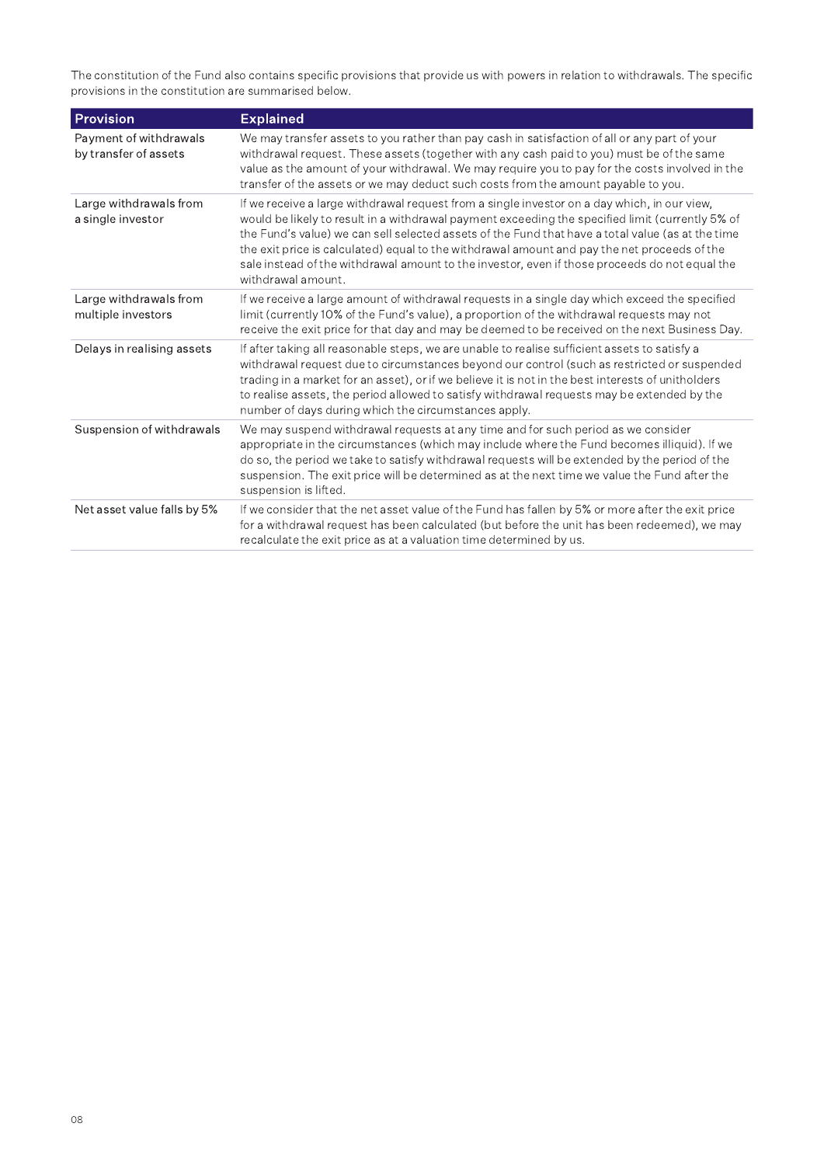The constitution of the Fund also contains specific provisions that provide us with powers in relation to withdrawals. The specific<br>provisions in the constitution are summarised below.

| <b>Provision</b>                                | <b>Explained</b>                                                                                                                                                                                                                                                                                                                                                                                                                                                                                                              |
|-------------------------------------------------|-------------------------------------------------------------------------------------------------------------------------------------------------------------------------------------------------------------------------------------------------------------------------------------------------------------------------------------------------------------------------------------------------------------------------------------------------------------------------------------------------------------------------------|
| Payment of withdrawals<br>by transfer of assets | We may transfer assets to you rather than pay cash in satisfaction of all or any part of your<br>withdrawal request. These assets (together with any cash paid to you) must be of the same<br>value as the amount of your withdrawal. We may require you to pay for the costs involved in the<br>transfer of the assets or we may deduct such costs from the amount payable to you.                                                                                                                                           |
| Large withdrawals from<br>a single investor     | If we receive a large withdrawal request from a single investor on a day which, in our view,<br>would be likely to result in a withdrawal payment exceeding the specified limit (currently 5% of<br>the Fund's value) we can sell selected assets of the Fund that have a total value (as at the time<br>the exit price is calculated) equal to the withdrawal amount and pay the net proceeds of the<br>sale instead of the withdrawal amount to the investor, even if those proceeds do not equal the<br>withdrawal amount. |
| Large withdrawals from<br>multiple investors    | If we receive a large amount of withdrawal requests in a single day which exceed the specified<br>limit (currently 10% of the Fund's value), a proportion of the withdrawal requests may not<br>receive the exit price for that day and may be deemed to be received on the next Business Day.                                                                                                                                                                                                                                |
| Delays in realising assets                      | If after taking all reasonable steps, we are unable to realise sufficient assets to satisfy a<br>withdrawal request due to circumstances beyond our control (such as restricted or suspended<br>trading in a market for an asset), or if we believe it is not in the best interests of unitholders<br>to realise assets, the period allowed to satisfy withdrawal requests may be extended by the<br>number of days during which the circumstances apply.                                                                     |
| Suspension of withdrawals                       | We may suspend withdrawal requests at any time and for such period as we consider<br>appropriate in the circumstances (which may include where the Fund becomes illiquid). If we<br>do so, the period we take to satisfy withdrawal requests will be extended by the period of the<br>suspension. The exit price will be determined as at the next time we value the Fund after the<br>suspension is lifted.                                                                                                                  |
| Net asset value falls by 5%                     | If we consider that the net asset value of the Fund has fallen by 5% or more after the exit price<br>for a withdrawal request has been calculated (but before the unit has been redeemed), we may<br>recalculate the exit price as at a valuation time determined by us.                                                                                                                                                                                                                                                      |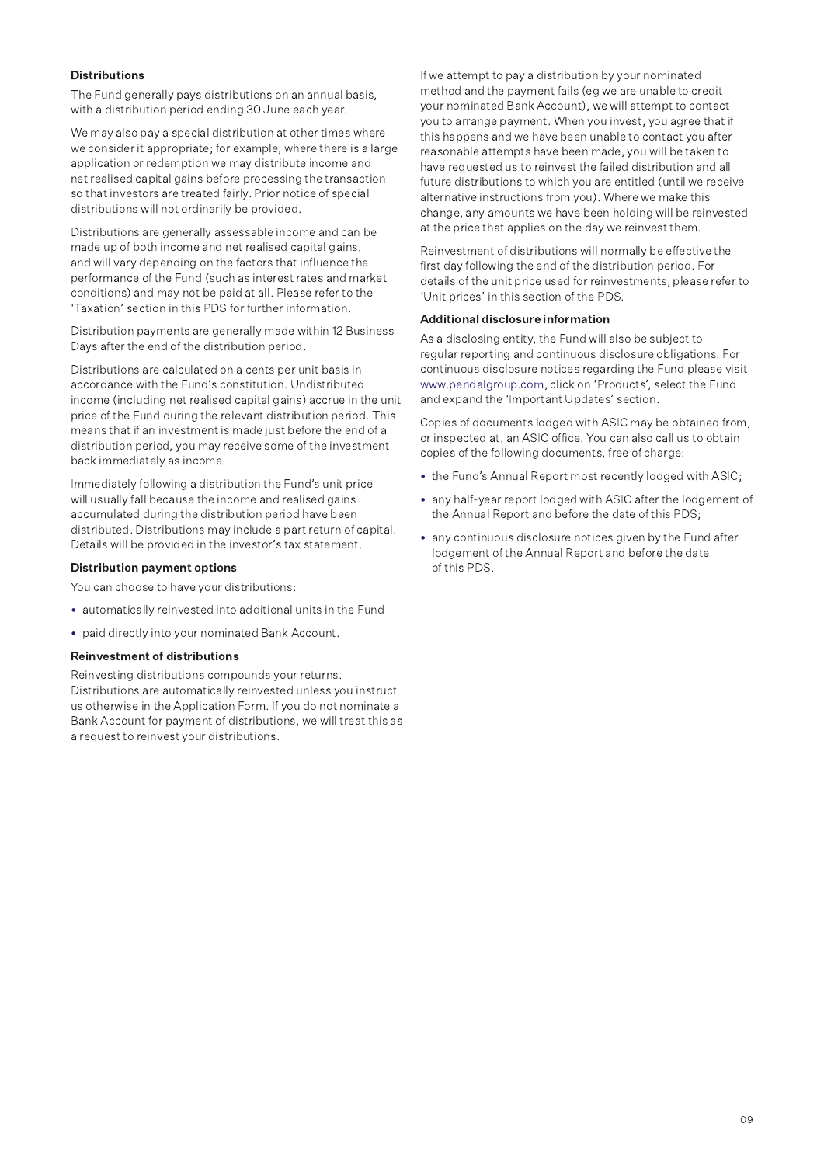#### **Dictributione**

The Fund generally pays distributions on an annual basis, with a distribution period ending 30 June each year.

We may also pay a special distribution at other times where we consider it appropriate; for example, where there is a large application or redemption we may distribute income and net realised capital gains before processing the transaction so that investors are treated fairly. Prior notice of special distributions will not ordinarily be provided.

Distributions are generally assessable income and can be made up of both income and net realised capital gains, and will vary depending on the factors that influence the performance of the Fund (such as interest rates and market conditions) and may not be paid at all. Please refer to the 'Taxation' section in this PDS for further information.

Distribution payments are generally made within 12 Business Days after the end of the distribution period.

Distributions are calculated on a cents per unit basis in accordance with the Fund's constitution. Undistributed income (including net realised capital gains) accrue in the unit price of the Fund during the relevant distribution period. This means that if an investment is made just before the end of a distribution period, you may receive some of the investment back immediately as income.

Immediately following a distribution the Fund's unit price will usually fall because the income and realised gains accumulated during the distribution period have been distributed. Distributions may include a part return of capital. Details will be provided in the investor's tax statement.

#### **Distribution payment options**

You can choose to have your distributions:

- automatically reinvested into additional units in the Fund
- paid directly into your nominated Bank Account.

#### **Reinvestment of distributions**

Reinvesting distributions compounds your returns. Distributions are automatically reinvested unless you instruct us otherwise in the Application Form. If you do not nominate a Bank Account for payment of distributions, we will treat this as a request to reinvest your distributions.

If we attempt to pay a distribution by your nominated method and the payment fails (eg we are unable to credit your nominated Bank Account), we will attempt to contact you to arrange payment. When you invest, you agree that if this happens and we have been unable to contact you after reasonable attempts have been made, you will be taken to have requested us to reinvest the failed distribution and all future distributions to which you are entitled (until we receive alternative instructions from you). Where we make this change, any amounts we have been holding will be reinvested at the price that applies on the day we reinvest them.

Reinvestment of distributions will normally be effective the first day following the end of the distribution period. For details of the unit price used for reinvestments, please refer to 'Unit prices' in this section of the PDS.

#### Additional disclosure information

As a disclosing entity, the Fund will also be subject to regular reporting and continuous disclosure obligations. For continuous disclosure notices regarding the Fund please visit www.pendalgroup.com, click on 'Products', select the Fund and expand the 'Important Updates' section.

Copies of documents lodged with ASIC may be obtained from, or inspected at, an ASIC office. You can also call us to obtain copies of the following documents, free of charge:

- the Fund's Annual Report most recently lodged with ASIC;
- any half-year report lodged with ASIC after the lodgement of the Annual Report and before the date of this PDS;
- any continuous disclosure notices given by the Fund after lodgement of the Annual Report and before the date of this PDS.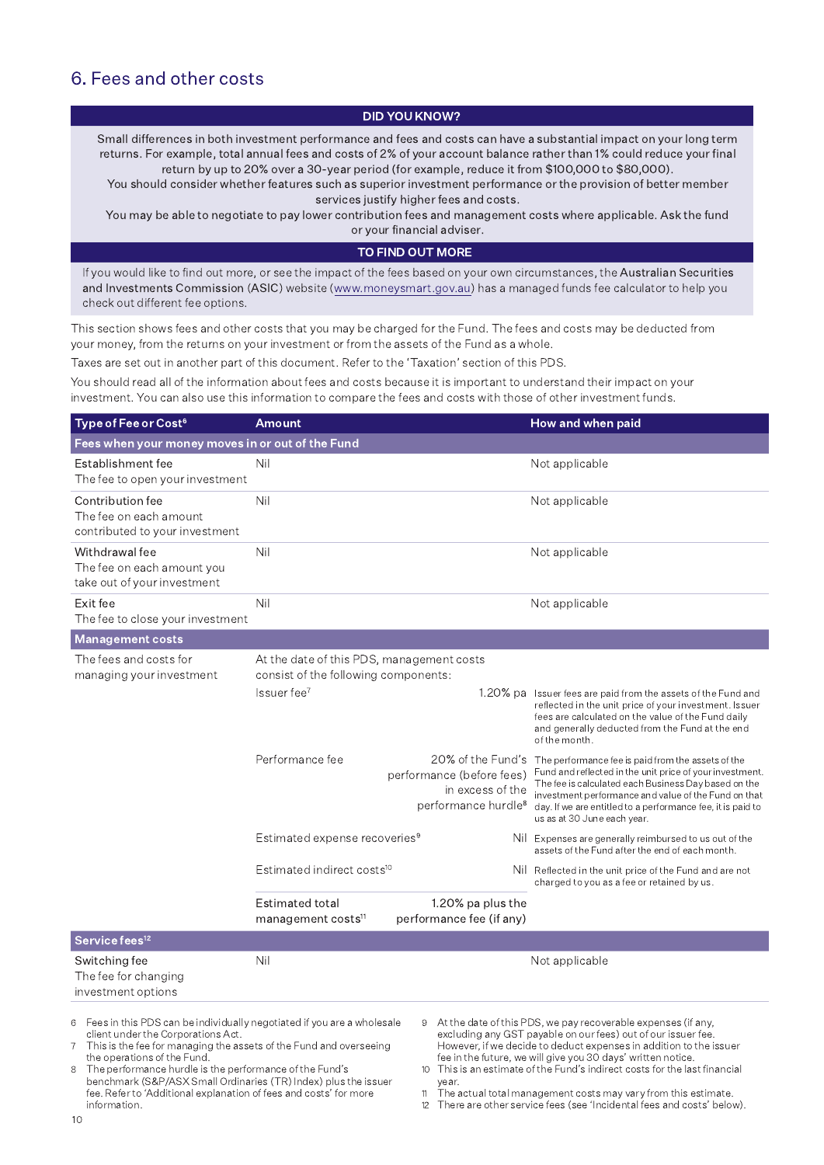### 6. Fees and other costs

#### **DID YOU KNOW?**

Small differences in both investment performance and fees and costs can have a substantial impact on your long term returns. For example, total annual fees and costs of 2% of your account balance rather than 1% could reduce your final return by up to 20% over a 30-year period (for example, reduce it from \$100,000 to \$80,000).

You should consider whether features such as superior investment performance or the provision of better member services justify higher fees and costs.

You may be able to negotiate to pay lower contribution fees and management costs where applicable. Ask the fund or your financial adviser.

#### TO FIND OUT MORE

If you would like to find out more, or see the impact of the fees based on your own circumstances, the Australian Securities and Investments Commission (ASIC) website (www.moneysmart.gov.au) has a managed funds fee calculator to help you check out different fee options.

This section shows fees and other costs that you may be charged for the Fund. The fees and costs may be deducted from your money, from the returns on your investment or from the assets of the Fund as a whole.

Taxes are set out in another part of this document. Refer to the 'Taxation' section of this PDS.

You should read all of the information about fees and costs because it is important to understand their impact on your investment. You can also use this information to compare the fees and costs with those of other investment funds.

| Type of Fee or Cost <sup>6</sup>                                             | Amount                                                                            |                                                                                                       | How and when paid                                                                                                                                                                                                                                                                                                            |
|------------------------------------------------------------------------------|-----------------------------------------------------------------------------------|-------------------------------------------------------------------------------------------------------|------------------------------------------------------------------------------------------------------------------------------------------------------------------------------------------------------------------------------------------------------------------------------------------------------------------------------|
| Fees when your money moves in or out of the Fund                             |                                                                                   |                                                                                                       |                                                                                                                                                                                                                                                                                                                              |
| Establishment fee<br>The fee to open your investment                         | Nil                                                                               |                                                                                                       | Not applicable                                                                                                                                                                                                                                                                                                               |
| Contribution fee<br>The fee on each amount<br>contributed to your investment | Nil                                                                               |                                                                                                       | Not applicable                                                                                                                                                                                                                                                                                                               |
| Withdrawal fee<br>The fee on each amount you<br>take out of your investment  | Nil                                                                               |                                                                                                       | Not applicable                                                                                                                                                                                                                                                                                                               |
| Exit fee<br>The fee to close your investment                                 | Nil<br>Not applicable                                                             |                                                                                                       |                                                                                                                                                                                                                                                                                                                              |
| <b>Management costs</b>                                                      |                                                                                   |                                                                                                       |                                                                                                                                                                                                                                                                                                                              |
| The fees and costs for<br>managing your investment                           | At the date of this PDS, management costs<br>consist of the following components: |                                                                                                       |                                                                                                                                                                                                                                                                                                                              |
|                                                                              | Issuer fee <sup>7</sup>                                                           |                                                                                                       | 1.20% pa Issuer fees are paid from the assets of the Fund and<br>reflected in the unit price of your investment. Issuer<br>fees are calculated on the value of the Fund daily<br>and generally deducted from the Fund at the end<br>of the month.                                                                            |
|                                                                              | Performance fee                                                                   | 20% of the Fund's<br>performance (before fees)<br>in excess of the<br>performance hurdle <sup>8</sup> | The performance fee is paid from the assets of the<br>Fund and reflected in the unit price of your investment.<br>The fee is calculated each Business Day based on the<br>investment performance and value of the Fund on that<br>day. If we are entitled to a performance fee, it is paid to<br>us as at 30 June each year. |
|                                                                              | Estimated expense recoveries <sup>9</sup>                                         |                                                                                                       | Nil Expenses are generally reimbursed to us out of the<br>assets of the Fund after the end of each month.                                                                                                                                                                                                                    |
|                                                                              | Estimated indirect costs <sup>10</sup>                                            |                                                                                                       | Nil Reflected in the unit price of the Fund and are not<br>charged to you as a fee or retained by us.                                                                                                                                                                                                                        |
|                                                                              | Estimated total<br>management costs <sup>11</sup>                                 | 1.20% pa plus the<br>performance fee (if any)                                                         |                                                                                                                                                                                                                                                                                                                              |
| Service fees <sup>12</sup>                                                   |                                                                                   |                                                                                                       |                                                                                                                                                                                                                                                                                                                              |
| Switching fee<br>The fee for changing<br>investment options                  | Nil                                                                               |                                                                                                       | Not applicable                                                                                                                                                                                                                                                                                                               |

Fees in this PDS can be individually negotiated if you are a wholesale  $\kappa$ client under the Corporations Act.

This is the fee for managing the assets of the Fund and overseeing the operations of the Fund.

The performance hurdle is the performance of the Fund's  $\mathcal{R}$ benchmark (S&P/ASX Small Ordinaries (TR) Index) plus the issuer fee. Refer to 'Additional explanation of fees and costs' for more information.

9 At the date of this PDS, we pay recoverable expenses (if any, excluding any GST payable on our fees) out of our issuer fee.<br>However, if we decide to deduct expenses in addition to the issuer fee in the future, we will give you 30 days' written notice.

This is an estimate of the Fund's indirect costs for the last financial  $10$ year.

The actual total management costs may vary from this estimate.  $11$ 

12 There are other service fees (see 'Incidental fees and costs' below).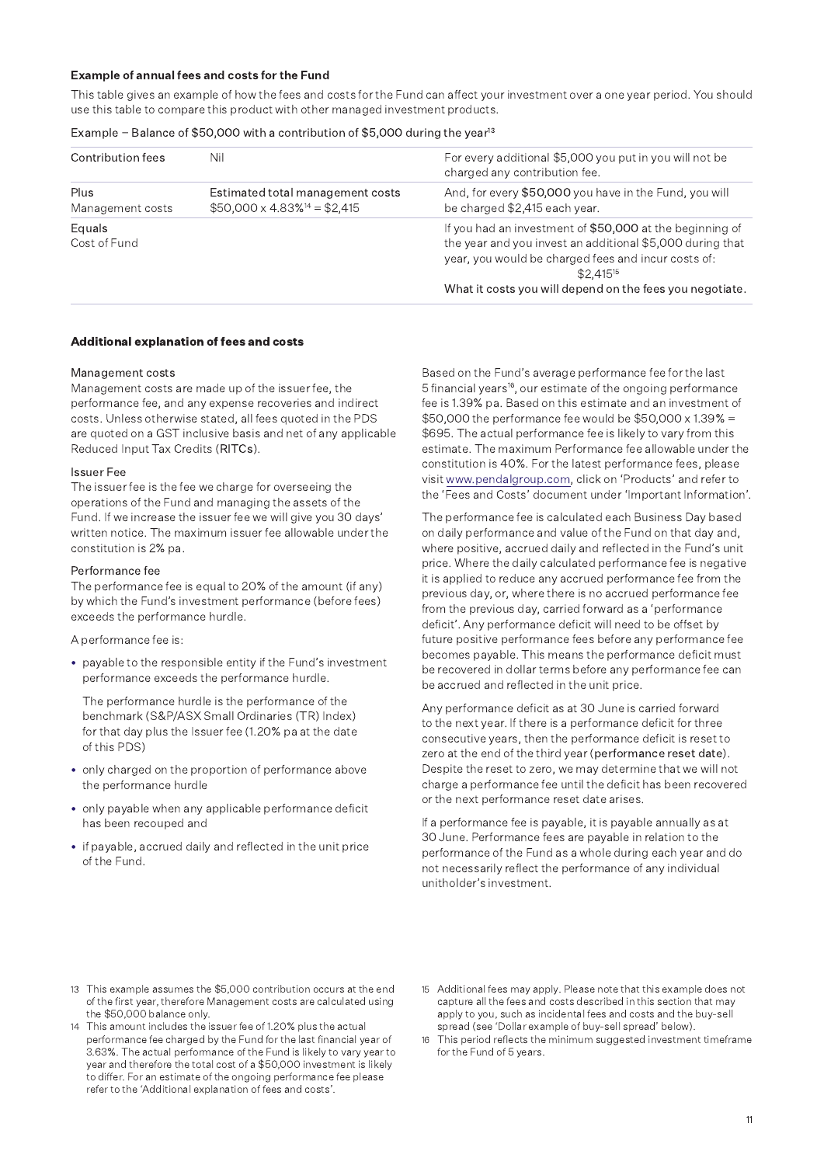#### Example of annual fees and costs for the Fund

This table gives an example of how the fees and costs for the Fund can affect your investment over a one year period. You should use this table to compare this product with other managed investment products.

#### Example - Balance of \$50,000 with a contribution of \$5,000 during the year<sup>13</sup>

| Contribution fees        | Nil                                                                                 | For every additional \$5,000 you put in you will not be<br>charged any contribution fee.                                                                                                                                                                  |
|--------------------------|-------------------------------------------------------------------------------------|-----------------------------------------------------------------------------------------------------------------------------------------------------------------------------------------------------------------------------------------------------------|
| Plus<br>Management costs | Estimated total management costs<br>$$50,000 \times 4.83\%$ <sup>14</sup> = \$2,415 | And, for every \$50,000 you have in the Fund, you will<br>be charged \$2,415 each year.                                                                                                                                                                   |
| Equals<br>Cost of Fund   |                                                                                     | If you had an investment of \$50,000 at the beginning of<br>the year and you invest an additional \$5,000 during that<br>year, you would be charged fees and incur costs of:<br>$$2.415^{15}$<br>What it costs you will depend on the fees you negotiate. |

#### Additional explanation of fees and costs

#### Management costs

Management costs are made up of the issuer fee, the performance fee, and any expense recoveries and indirect costs. Unless otherwise stated, all fees quoted in the PDS are quoted on a GST inclusive basis and net of any applicable Reduced Input Tax Credits (RITCs).

#### **Issuer Fee**

The issuer fee is the fee we charge for overseeing the operations of the Fund and managing the assets of the Fund. If we increase the issuer fee we will give you 30 days' written notice. The maximum issuer fee allowable under the constitution is 2% pa.

#### Performance fee

The performance fee is equal to 20% of the amount (if any) by which the Fund's investment performance (before fees) exceeds the performance hurdle.

A performance fee is:

• payable to the responsible entity if the Fund's investment performance exceeds the performance hurdle.

The performance hurdle is the performance of the benchmark (S&P/ASX Small Ordinaries (TR) Index) for that day plus the Issuer fee (1.20% pa at the date of this PDS)

- only charged on the proportion of performance above the performance hurdle
- only payable when any applicable performance deficit has been recouped and
- if payable, accrued daily and reflected in the unit price of the Fund.

Based on the Fund's average performance fee for the last 5 financial years<sup>16</sup>, our estimate of the ongoing performance fee is 1.39% pa. Based on this estimate and an investment of \$50,000 the performance fee would be \$50,000 x 1.39% = \$695. The actual performance fee is likely to vary from this estimate. The maximum Performance fee allowable under the constitution is 40%. For the latest performance fees, please visit www.pendalgroup.com, click on 'Products' and refer to the 'Fees and Costs' document under 'Important Information'.

The performance fee is calculated each Business Day based on daily performance and value of the Fund on that day and, where positive, accrued daily and reflected in the Fund's unit price. Where the daily calculated performance fee is negative it is applied to reduce any accrued performance fee from the previous day, or, where there is no accrued performance fee from the previous day, carried forward as a 'performance deficit'. Any performance deficit will need to be offset by future positive performance fees before any performance fee becomes payable. This means the performance deficit must be recovered in dollar terms before any performance fee can be accrued and reflected in the unit price.

Any performance deficit as at 30 June is carried forward to the next year. If there is a performance deficit for three consecutive years, then the performance deficit is reset to zero at the end of the third year (performance reset date). Despite the reset to zero, we may determine that we will not charge a performance fee until the deficit has been recovered or the next performance reset date arises.

If a performance fee is payable, it is payable annually as at 30 June. Performance fees are payable in relation to the performance of the Fund as a whole during each year and do not necessarily reflect the performance of any individual unitholder's investment.

- 13 This example assumes the \$5,000 contribution occurs at the end of the first year, therefore Management costs are calculated using the \$50,000 balance only.
- This amount includes the issuer fee of 1.20% plus the actual  $14$ performance fee charged by the Fund for the last financial year of 3.63%. The actual performance of the Fund is likely to vary year to year and therefore the total cost of a \$50,000 investment is likely to differ. For an estimate of the ongoing performance fee please refer to the 'Additional explanation of fees and costs'.
- 15 Additional fees may apply. Please note that this example does not capture all the fees and costs described in this section that may apply to you, such as incidental fees and costs and the buy-sell spread (see 'Dollar example of buy-sell spread' below)
- $16$ This period reflects the minimum suggested investment timeframe for the Fund of 5 years.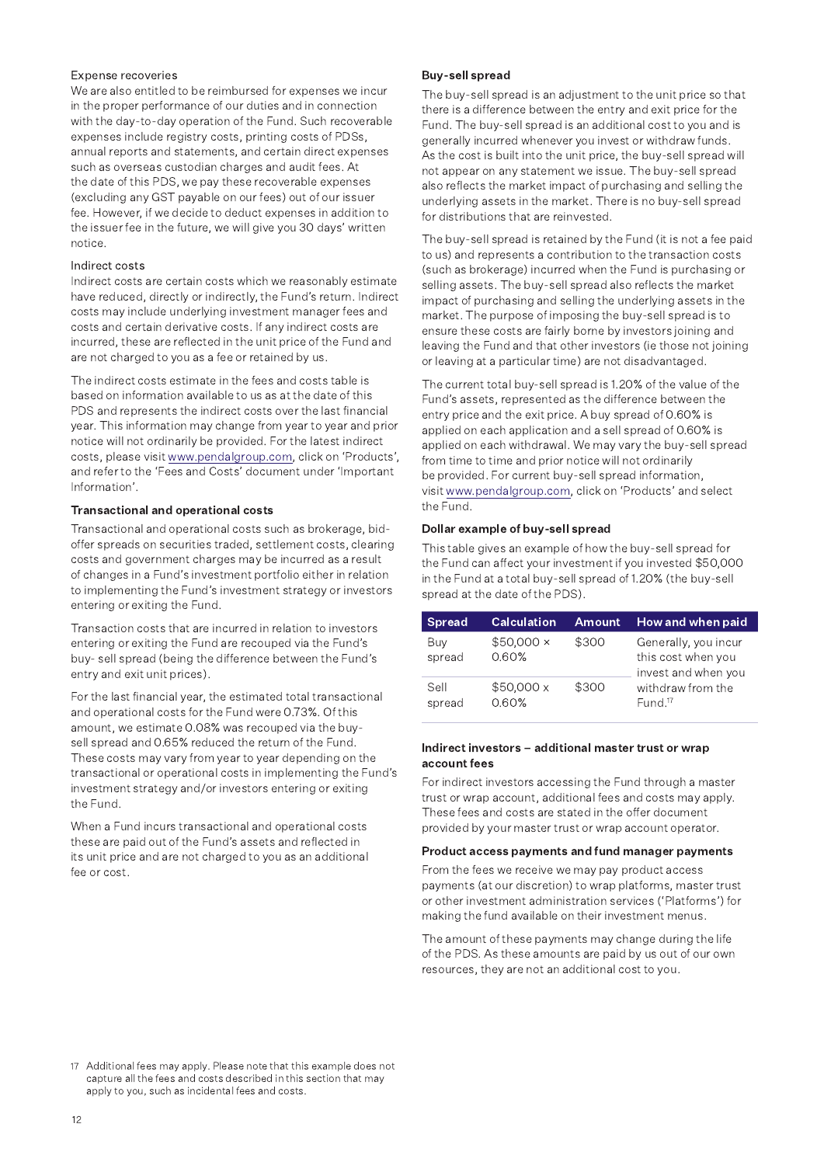#### Expense recoveries

We are also entitled to be reimbursed for expenses we incur in the proper performance of our duties and in connection with the day-to-day operation of the Fund. Such recoverable expenses include registry costs, printing costs of PDSs, annual reports and statements, and certain direct expenses such as overseas custodian charges and audit fees. At the date of this PDS, we pay these recoverable expenses (excluding any GST payable on our fees) out of our issuer fee. However, if we decide to deduct expenses in addition to the issuer fee in the future, we will give you 30 days' written notice.

#### Indirect costs

Indirect costs are certain costs which we reasonably estimate have reduced, directly or indirectly, the Fund's return. Indirect costs may include underlying investment manager fees and costs and certain derivative costs. If any indirect costs are incurred, these are reflected in the unit price of the Fund and are not charged to you as a fee or retained by us.

The indirect costs estimate in the fees and costs table is based on information available to us as at the date of this PDS and represents the indirect costs over the last financial year. This information may change from year to year and prior notice will not ordinarily be provided. For the latest indirect costs, please visit www.pendalgroup.com, click on 'Products', and refer to the 'Fees and Costs' document under 'Important Information'.

#### **Transactional and operational costs**

Transactional and operational costs such as brokerage, bidoffer spreads on securities traded, settlement costs, clearing costs and government charges may be incurred as a result of changes in a Fund's investment portfolio either in relation to implementing the Fund's investment strategy or investors entering or exiting the Fund.

Transaction costs that are incurred in relation to investors entering or exiting the Fund are recouped via the Fund's buy- sell spread (being the difference between the Fund's entry and exit unit prices).

For the last financial year, the estimated total transactional and operational costs for the Fund were 0.73%. Of this amount, we estimate 0.08% was recouped via the buysell spread and 0.65% reduced the return of the Fund. These costs may vary from year to year depending on the transactional or operational costs in implementing the Fund's investment strategy and/or investors entering or exiting the Fund.

When a Fund incurs transactional and operational costs these are paid out of the Fund's assets and reflected in its unit price and are not charged to you as an additional fee or cost.

#### **Buy-sell spread**

The buy-sell spread is an adjustment to the unit price so that there is a difference between the entry and exit price for the Fund. The buy-sell spread is an additional cost to you and is generally incurred whenever you invest or withdraw funds. As the cost is built into the unit price, the buy-sell spread will not appear on any statement we issue. The buy-sell spread also reflects the market impact of purchasing and selling the underlying assets in the market. There is no buy-sell spread for distributions that are reinvested.

The buy-sell spread is retained by the Fund (it is not a fee paid to us) and represents a contribution to the transaction costs (such as brokerage) incurred when the Fund is purchasing or selling assets. The buy-sell spread also reflects the market impact of purchasing and selling the underlying assets in the market. The purpose of imposing the buy-sell spread is to ensure these costs are fairly borne by investors joining and leaving the Fund and that other investors (ie those not joining or leaving at a particular time) are not disadvantaged.

The current total buy-sell spread is 1.20% of the value of the Fund's assets, represented as the difference between the entry price and the exit price. A buy spread of 0.60% is applied on each application and a sell spread of 0.60% is applied on each withdrawal. We may vary the buy-sell spread from time to time and prior notice will not ordinarily be provided. For current buy-sell spread information, visit www.pendalgroup.com, click on 'Products' and select the Fund.

#### Dollar example of buy-sell spread

This table gives an example of how the buy-sell spread for the Fund can affect your investment if you invested \$50,000 in the Fund at a total buy-sell spread of 1.20% (the buy-sell spread at the date of the PDS).

| <b>Spread</b>  | <b>Calculation</b>        | <b>Amount</b> | How and when paid                                                 |
|----------------|---------------------------|---------------|-------------------------------------------------------------------|
| Buy<br>spread  | $$50,000 \times$<br>0.60% | \$300         | Generally, you incur<br>this cost when you<br>invest and when you |
| Sell<br>spread | \$50,000x<br>0.60%        | \$300         | withdraw from the<br>Fund. <sup>17</sup>                          |

#### Indirect investors - additional master trust or wrap account fees

For indirect investors accessing the Fund through a master trust or wrap account, additional fees and costs may apply. These fees and costs are stated in the offer document provided by your master trust or wrap account operator.

#### Product access payments and fund manager payments

From the fees we receive we may pay product access payments (at our discretion) to wrap platforms, master trust or other investment administration services ('Platforms') for making the fund available on their investment menus.

The amount of these payments may change during the life of the PDS. As these amounts are paid by us out of our own resources, they are not an additional cost to you.

<sup>17</sup> Additional fees may apply. Please note that this example does not capture all the fees and costs described in this section that may apply to you, such as incidental fees and costs.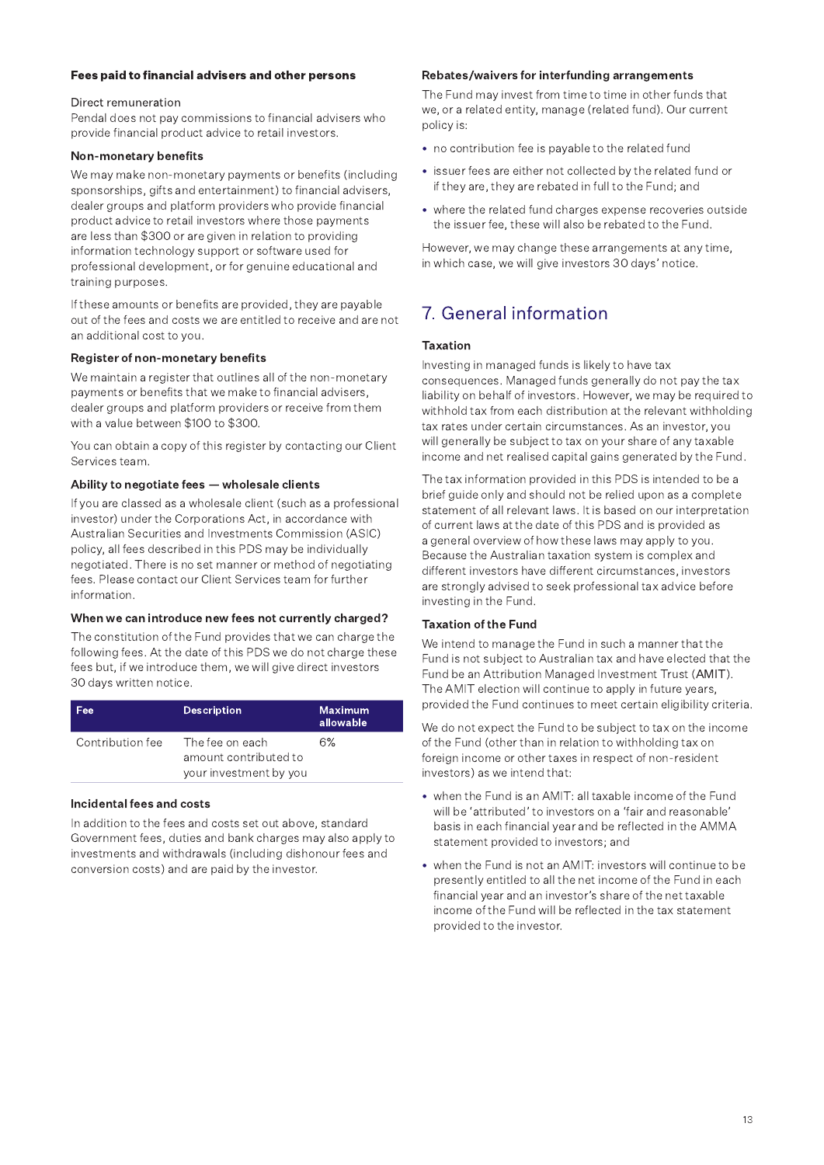#### Fees paid to financial advisers and other persons

#### Direct remuneration

Pendal does not pay commissions to financial advisers who provide financial product advice to retail investors.

#### Non-monetary benefits

We may make non-monetary payments or benefits (including sponsorships, gifts and entertainment) to financial advisers, dealer groups and platform providers who provide financial product advice to retail investors where those payments are less than \$300 or are given in relation to providing information technology support or software used for professional development, or for genuine educational and training purposes.

If these amounts or benefits are provided, they are payable out of the fees and costs we are entitled to receive and are not an additional cost to you.

#### Register of non-monetary benefits

We maintain a register that outlines all of the non-monetary payments or benefits that we make to financial advisers. dealer groups and platform providers or receive from them with a value between \$100 to \$300.

You can obtain a copy of this register by contacting our Client Services team.

#### Ability to negotiate fees - wholesale clients

If you are classed as a wholesale client (such as a professional investor) under the Corporations Act, in accordance with Australian Securities and Investments Commission (ASIC) policy, all fees described in this PDS may be individually negotiated. There is no set manner or method of negotiating fees. Please contact our Client Services team for further information.

#### When we can introduce new fees not currently charged?

The constitution of the Fund provides that we can charge the following fees. At the date of this PDS we do not charge these fees but, if we introduce them, we will give direct investors 30 days written notice.

| Fee              | <b>Description</b>                                                 | Maximum.<br>allowable |
|------------------|--------------------------------------------------------------------|-----------------------|
| Contribution fee | The fee on each<br>amount contributed to<br>your investment by you | 6%                    |

#### Incidental fees and costs

In addition to the fees and costs set out above, standard Government fees, duties and bank charges may also apply to investments and withdrawals (including dishonour fees and conversion costs) and are paid by the investor.

#### Rebates/waivers for interfunding arrangements

The Fund may invest from time to time in other funds that we, or a related entity, manage (related fund). Our current policy is:

- no contribution fee is payable to the related fund
- issuer fees are either not collected by the related fund or if they are, they are rebated in full to the Fund; and
- where the related fund charges expense recoveries outside the issuer fee, these will also be rebated to the Fund.

However, we may change these arrangements at any time, in which case, we will give investors 30 days' notice.

## 7. General information

#### **Taxation**

Investing in managed funds is likely to have tax consequences. Managed funds generally do not pay the tax liability on behalf of investors. However, we may be required to withhold tax from each distribution at the relevant withholding tax rates under certain circumstances. As an investor, you will generally be subject to tax on your share of any taxable income and net realised capital gains generated by the Fund.

The tax information provided in this PDS is intended to be a brief guide only and should not be relied upon as a complete statement of all relevant laws. It is based on our interpretation of current laws at the date of this PDS and is provided as a general overview of how these laws may apply to you. Because the Australian taxation system is complex and different investors have different circumstances, investors are strongly advised to seek professional tax advice before investing in the Fund.

#### **Taxation of the Fund**

We intend to manage the Fund in such a manner that the Fund is not subject to Australian tax and have elected that the Fund be an Attribution Managed Investment Trust (AMIT). The AMIT election will continue to apply in future years, provided the Fund continues to meet certain eligibility criteria.

We do not expect the Fund to be subject to tax on the income of the Fund (other than in relation to withholding tax on foreign income or other taxes in respect of non-resident investors) as we intend that:

- when the Fund is an AMIT: all taxable income of the Fund will be 'attributed' to investors on a 'fair and reasonable' basis in each financial year and be reflected in the AMMA statement provided to investors; and
- when the Fund is not an AMIT: investors will continue to be presently entitled to all the net income of the Fund in each financial year and an investor's share of the net taxable income of the Fund will be reflected in the tax statement provided to the investor.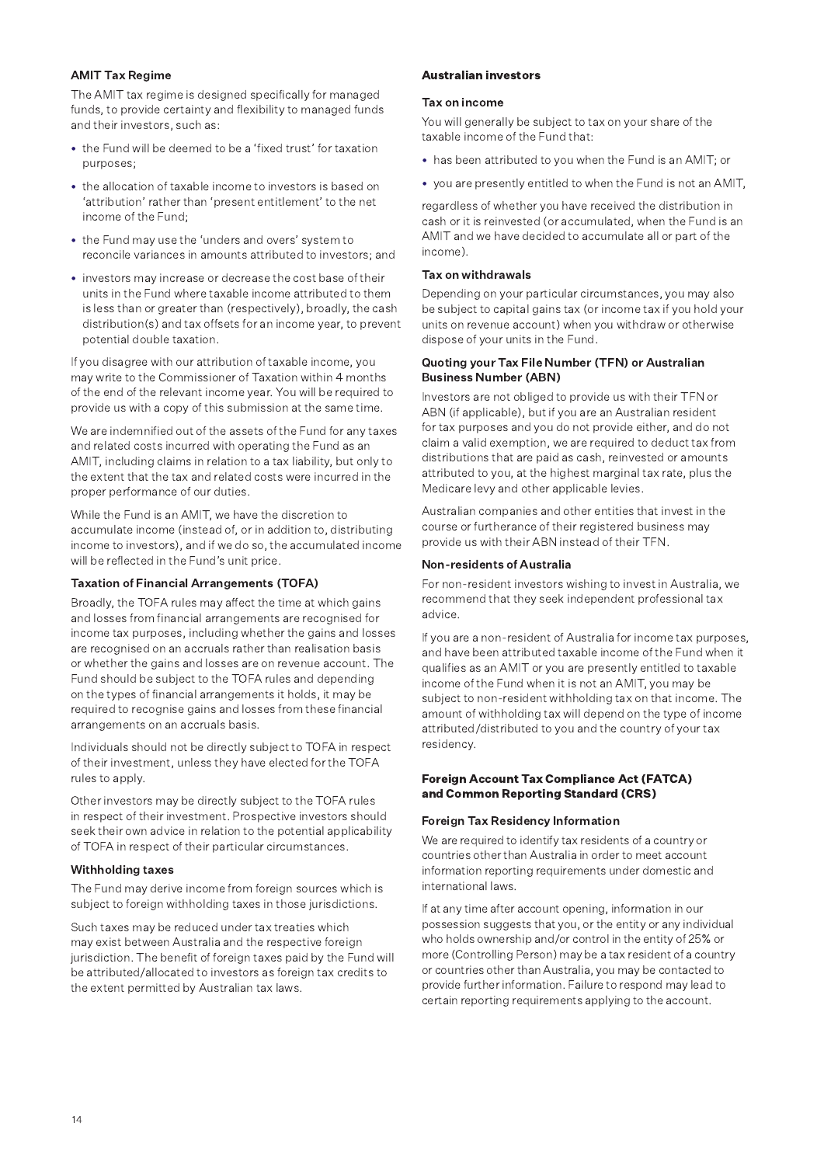#### **AMIT Tax Regime**

The AMIT tax regime is designed specifically for managed funds, to provide certainty and flexibility to managed funds and their investors, such as:

- the Fund will be deemed to be a 'fixed trust' for taxation purposes:
- the allocation of taxable income to investors is based on 'attribution' rather than 'present entitlement' to the net income of the Fund:
- the Fund may use the 'unders and overs' system to reconcile variances in amounts attributed to investors; and
- investors may increase or decrease the cost base of their units in the Fund where taxable income attributed to them is less than or greater than (respectively), broadly, the cash distribution(s) and tax offsets for an income year, to prevent potential double taxation.

If you disagree with our attribution of taxable income, you may write to the Commissioner of Taxation within 4 months of the end of the relevant income year. You will be required to provide us with a copy of this submission at the same time.

We are indemnified out of the assets of the Fund for any taxes and related costs incurred with operating the Fund as an AMIT, including claims in relation to a tax liability, but only to the extent that the tax and related costs were incurred in the proper performance of our duties.

While the Fund is an AMIT, we have the discretion to accumulate income (instead of, or in addition to, distributing income to investors), and if we do so, the accumulated income will be reflected in the Fund's unit price.

#### **Taxation of Financial Arrangements (TOFA)**

Broadly, the TOFA rules may affect the time at which gains and losses from financial arrangements are recognised for income tax purposes, including whether the gains and losses are recognised on an accruals rather than realisation basis or whether the gains and losses are on revenue account. The Fund should be subject to the TOFA rules and depending on the types of financial arrangements it holds, it may be required to recognise gains and losses from these financial arrangements on an accruals basis.

Individuals should not be directly subject to TOFA in respect of their investment, unless they have elected for the TOFA rules to apply.

Other investors may be directly subject to the TOFA rules in respect of their investment. Prospective investors should seek their own advice in relation to the potential applicability of TOFA in respect of their particular circumstances.

#### **Withholding taxes**

The Fund may derive income from foreign sources which is subject to foreign withholding taxes in those jurisdictions.

Such taxes may be reduced under tax treaties which may exist between Australia and the respective foreign jurisdiction. The benefit of foreign taxes paid by the Fund will be attributed/allocated to investors as foreign tax credits to the extent permitted by Australian tax laws.

#### **Australian investors**

#### Tax on income

You will generally be subject to tax on your share of the taxable income of the Fund that:

- has been attributed to you when the Fund is an AMIT; or
- you are presently entitled to when the Fund is not an AMIT,

regardless of whether you have received the distribution in cash or it is reinvested (or accumulated, when the Fund is an AMIT and we have decided to accumulate all or part of the income).

#### Tax on withdrawals

Depending on your particular circumstances, you may also be subject to capital gains tax (or income tax if you hold your units on revenue account) when you withdraw or otherwise dispose of your units in the Fund.

#### Quoting your Tax File Number (TFN) or Australian **Business Number (ABN)**

Investors are not obliged to provide us with their TFN or ABN (if applicable), but if you are an Australian resident for tax purposes and you do not provide either, and do not claim a valid exemption, we are required to deduct tax from distributions that are paid as cash, reinvested or amounts attributed to you, at the highest marginal tax rate, plus the Medicare levy and other applicable levies.

Australian companies and other entities that invest in the course or furtherance of their registered business may provide us with their ABN instead of their TFN.

#### **Non-residents of Australia**

For non-resident investors wishing to invest in Australia, we recommend that they seek independent professional tax advice.

If you are a non-resident of Australia for income tax purposes, and have been attributed taxable income of the Fund when it qualifies as an AMIT or you are presently entitled to taxable income of the Fund when it is not an AMIT, you may be subject to non-resident withholding tax on that income. The amount of withholding tax will depend on the type of income attributed/distributed to you and the country of your tax residency.

#### **Foreign Account Tax Compliance Act (FATCA)** and Common Reporting Standard (CRS)

#### **Foreign Tax Residency Information**

We are required to identify tax residents of a country or countries other than Australia in order to meet account information reporting requirements under domestic and international laws.

If at any time after account opening, information in our possession suggests that you, or the entity or any individual who holds ownership and/or control in the entity of 25% or more (Controlling Person) may be a tax resident of a country or countries other than Australia, you may be contacted to provide further information. Failure to respond may lead to certain reporting requirements applying to the account.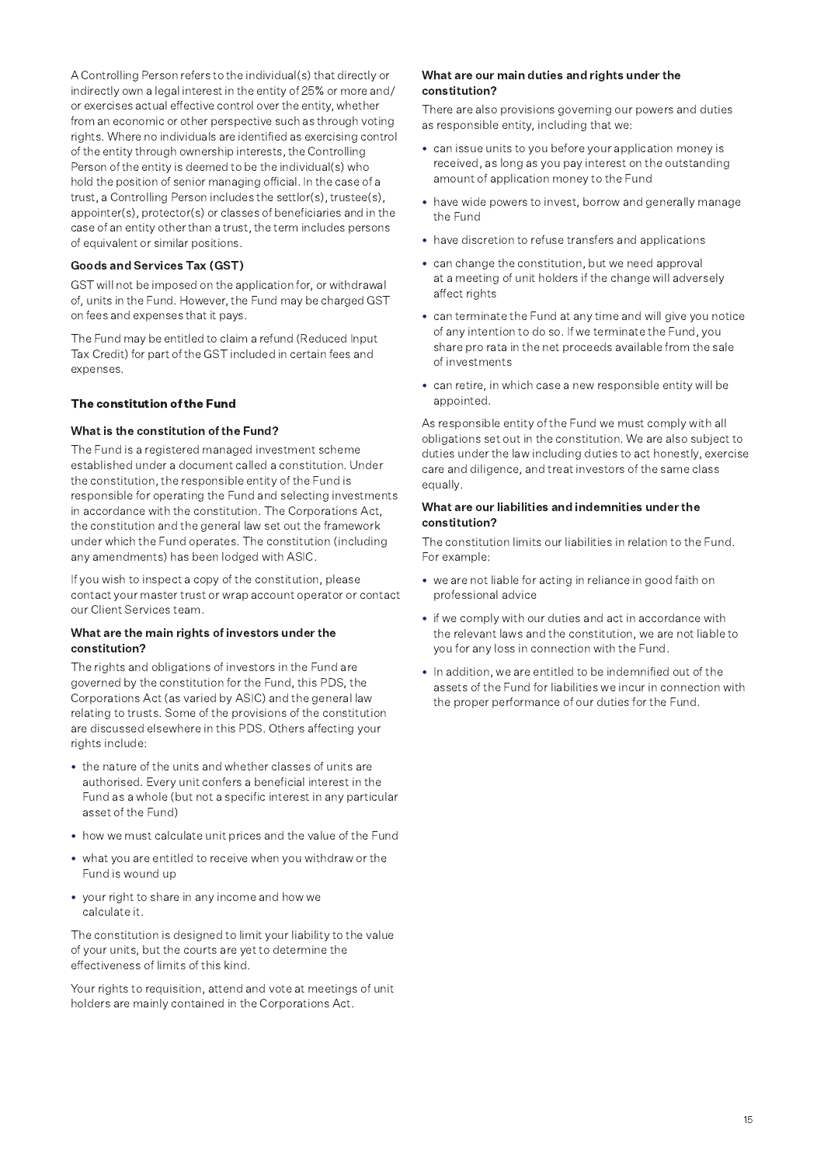A Controlling Person refers to the individual(s) that directly or indirectly own a legal interest in the entity of 25% or more and/ or exercises actual effective control over the entity, whether from an economic or other perspective such as through voting rights. Where no individuals are identified as exercising control of the entity through ownership interests, the Controlling Person of the entity is deemed to be the individual(s) who hold the position of senior managing official. In the case of a trust, a Controlling Person includes the settlor(s), trustee(s), appointer(s), protector(s) or classes of beneficiaries and in the case of an entity other than a trust, the term includes persons of equivalent or similar positions.

#### **Goods and Services Tax (GST)**

GST will not be imposed on the application for, or withdrawal of, units in the Fund. However, the Fund may be charged GST on fees and expenses that it pays.

The Fund may be entitled to claim a refund (Reduced Input Tax Credit) for part of the GST included in certain fees and expenses.

#### The constitution of the Fund

#### What is the constitution of the Fund?

The Fund is a registered managed investment scheme established under a document called a constitution. Under the constitution, the responsible entity of the Fund is responsible for operating the Fund and selecting investments in accordance with the constitution. The Corporations Act, the constitution and the general law set out the framework under which the Fund operates. The constitution (including any amendments) has been lodged with ASIC.

If you wish to inspect a copy of the constitution, please contact your master trust or wrap account operator or contact our Client Services team.

#### What are the main rights of investors under the constitution?

The rights and obligations of investors in the Fund are governed by the constitution for the Fund, this PDS, the Corporations Act (as varied by ASIC) and the general law relating to trusts. Some of the provisions of the constitution are discussed elsewhere in this PDS. Others affecting your rights include:

- the nature of the units and whether classes of units are authorised. Every unit confers a beneficial interest in the Fund as a whole (but not a specific interest in any particular asset of the Fund)
- how we must calculate unit prices and the value of the Fund
- what you are entitled to receive when you withdraw or the Fund is wound up
- your right to share in any income and how we calculate it.

The constitution is designed to limit your liability to the value of your units, but the courts are yet to determine the effectiveness of limits of this kind.

Your rights to requisition, attend and vote at meetings of unit holders are mainly contained in the Corporations Act.

#### What are our main duties and rights under the constitution?

There are also provisions governing our powers and duties as responsible entity, including that we:

- can issue units to you before your application money is received, as long as you pay interest on the outstanding amount of application money to the Fund
- have wide powers to invest, borrow and generally manage the Fund
- have discretion to refuse transfers and applications
- can change the constitution, but we need approval at a meeting of unit holders if the change will adversely affect rights
- can terminate the Fund at any time and will give you notice of any intention to do so. If we terminate the Fund, you share pro rata in the net proceeds available from the sale of investments
- can retire, in which case a new responsible entity will be appointed.

As responsible entity of the Fund we must comply with all obligations set out in the constitution. We are also subject to duties under the law including duties to act honestly, exercise care and diligence, and treat investors of the same class equally.

#### What are our liabilities and indemnities under the constitution?

The constitution limits our liabilities in relation to the Fund. For example:

- we are not liable for acting in reliance in good faith on professional advice
- if we comply with our duties and act in accordance with the relevant laws and the constitution, we are not liable to you for any loss in connection with the Fund.
- . In addition, we are entitled to be indemnified out of the assets of the Fund for liabilities we incur in connection with the proper performance of our duties for the Fund.